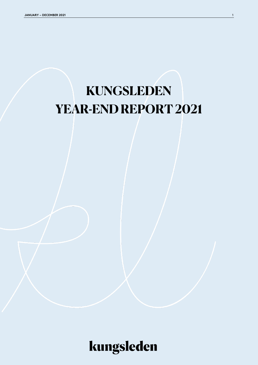# **KUNGSLEDEN YEAR-END REPORT 2021**

kungsleden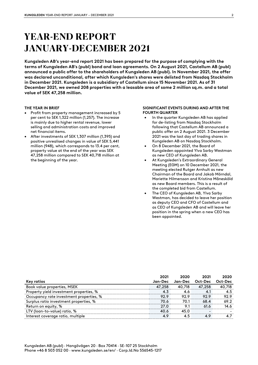## **YEAR-END REPORT JANUARY-DECEMBER 2021**

**Kungsleden AB's year-end report 2021 has been prepared for the purpose of complying with the terms of Kungsleden AB's (publ) bond and loan agreements. On 2 August 2021, Castellum AB (publ) announced a public offer to the shareholders of Kungsleden AB (publ). In November 2021, the offer was declared unconditional, after which Kungsleden's shares were delisted from Nasdaq Stockholm in December 2021. Kungsleden is a subsidiary of Castellum since 15 November 2021. As of 31 December 2021, we owned 208 properties with a leasable area of some 2 million sq.m. and a total value of SEK 47,258 million.**

#### **THE YEAR IN BRIEF**

- Profit from property management increased by 5 per cent to SEK 1,322 million (1,257). The increase is mainly due to higher rental revenue, lower selling and administration costs and improved net financial items.
- After investments of SEK 1,307 million (1,395) and positive unrealised changes in value of SEK 5,441 million (948), which corresponds to 13.4 per cent, property value at the end of the year was SEK 47,258 million compared to SEK 40,718 million at the beginning of the year.

#### **SIGNIFICANT EVENTS DURING AND AFTER THE FOURTH QUARTER**

- In the quarter Kungsleden AB has applied for de-listing from Nasdaq Stockholm following that Castellum AB announced a public offer on 2 August 2021. 3 December 2021 was the last day of trading shares in Kungsleden AB on Nasdaq Stockholm.
- On 8 December 2021, the Board of Kungsleden appointed Ylva Sarby Westman as new CEO of Kungsleden AB.
- At Kungsleden's Extraordinary General Meeting (EGM) on 10 December 2021, the meeting elected Rutger Arnhult as new Chairman of the Board and Jakob Mörndal, Mariette Hilmersson and Kristina Månesköld as new Board members. This is a result of the completed bid from Castellum.
- The CEO of Kungsleden AB, Ylva Sarby Westman, has decided to leave her position as deputy CEO and CFO of Castellum and as CEO of Kungsleden AB and will leave her position in the spring when a new CEO has been appointed.

|                                         | 2021    | 2020    | 2021                     | 2020    |
|-----------------------------------------|---------|---------|--------------------------|---------|
| Key ratios                              | Jan-Dec | Jan-Dec | Oct-Dec                  | Oct-Dec |
| Book value properties, MSEK             | 47,258  | 40,718  | 47,258                   | 40.718  |
| Property yield investment properties, % | 4.3     | 4.6     | 4.1                      | 4.5     |
| Occupancy rate investment properties, % | 92.9    | 92.9    | 92.9                     | 92.9    |
| Surplus ratio investment properties, %  | 70.6    | 70.1    | 68.4                     | 69.2    |
| Return on equity, %                     | 27.0    | 9.1     | 61.6                     | 14.6    |
| LTV (loan-to-value) ratio, %            | 40.6    | 45.0    | $\overline{\phantom{a}}$ |         |
| Interest coverage ratio, multiple       | 4.9     | 4.5     | 4.9                      | 4.7     |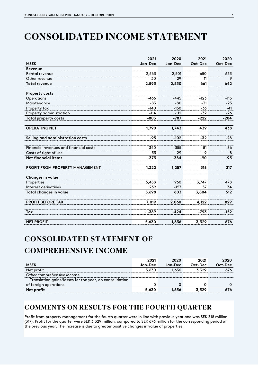## **CONSOLIDATED INCOME STATEMENT**

|                                        | 2021     | 2020    | 2021    | 2020    |
|----------------------------------------|----------|---------|---------|---------|
| <b>MSEK</b>                            | Jan-Dec  | Jan-Dec | Oct-Dec | Oct-Dec |
| Revenue                                |          |         |         |         |
| Rental revenue                         | 2,563    | 2,501   | 650     | 633     |
| Other revenue                          | 30       | 29      | 11      | 9       |
| <b>Total revenue</b>                   | 2,593    | 2,530   | 661     | 642     |
| <b>Property costs</b>                  |          |         |         |         |
| Operations                             | $-466$   | $-445$  | $-123$  | $-115$  |
| Maintenance                            | $-83$    | $-80$   | $-31$   | $-23$   |
| Property tax                           | $-140$   | $-150$  | -36     | $-41$   |
| Property administration                | $-114$   | $-112$  | $-32$   | $-26$   |
| <b>Total property costs</b>            | $-803$   | $-787$  | $-222$  | $-204$  |
| <b>OPERATING NET</b>                   | 1,790    | 1,743   | 439     | 438     |
| Selling and administration costs       | $-95$    | $-102$  | $-32$   | $-28$   |
| Financial revenues and financial costs | $-340$   | $-355$  | -81     | -86     |
| Costs of right of use                  | $-33$    | $-29$   | $-9$    | -8      |
| <b>Net financial items</b>             | $-373$   | $-384$  | -90     | $-93$   |
| PROFIT FROM PROPERTY MANAGEMENT        | 1,322    | 1,257   | 318     | 317     |
| Changes in value                       |          |         |         |         |
| Properties                             | 5,458    | 960     | 3,747   | 478     |
| Interest derivatives                   | 239      | $-157$  | 57      | 34      |
| Total changes in value                 | 5,698    | 803     | 3,804   | 512     |
| <b>PROFIT BEFORE TAX</b>               | 7,019    | 2,060   | 4,122   | 829     |
| Tax                                    | $-1,389$ | $-424$  | $-793$  | $-152$  |
| <b>NET PROFIT</b>                      | 5,630    | 1,636   | 3,329   | 676     |

### **CONSOLIDA TED STATEMENT OF COMPREHENSIVE INCOME**

|                                                         | 2021    | 2020    | 2021    | 2020     |
|---------------------------------------------------------|---------|---------|---------|----------|
| <b>MSEK</b>                                             | Jan-Dec | Jan-Dec | Oct-Dec | Oct-Dec  |
| Net profit                                              | 5.630   | 1.636   | 3.329   | 676      |
| Other comprehensive income                              |         |         |         |          |
| Translation gains/losses for the year, on consolidation |         |         |         |          |
| of foreign operations                                   |         |         |         | $\Omega$ |
| Net profit                                              | 5,630   | 1,636   | 3,329   | 676      |

### **COMMENTS ON RESULTS FOR THE FOURTH QUARTER**

Profit from property management for the fourth quarter were in line with previous year and was SEK 318 million (317). Profit for the quarter were SEK 3,329 million, compared to SEK 676 million for the corresponding period of the previous year. The increase is due to greater positive changes in value of properties.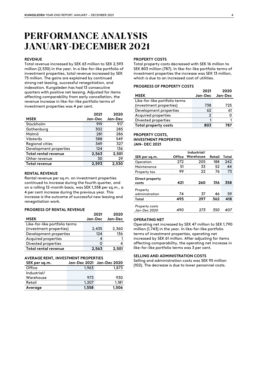### **PERFORMANCE ANALYSIS JANUARY-DECEMBER 2021**

#### **REVENUE**

Total revenue increased by SEK 63 million to SEK 2,593 million (2,530) in the year. In a like-for-like portfolio of investment properties, total revenue increased by SEK 75 million. The gains are explained by continued strong net leasing, successful renegotiation, and indexation. Kungsleden has had 13 consecutive quarters with positive net leasing. Adjusted for items affecting comparability from early cancellation, the revenue increase in like-for-like portfolio terms of investment properties was 4 per cent.

|                        | 2021  | 2020            |
|------------------------|-------|-----------------|
| <b>MSEK</b>            |       | Jan-Dec Jan-Dec |
| Stockholm              | 919   |                 |
| Gothenburg             | 302   | 285             |
| Malmö                  | 281   | 286             |
| Västerås               | 588   | 549             |
| Regional cities        | 349   |                 |
| Development properties | 124   | 136             |
| Total rental revenue   | 2,563 | 2,501           |
| Other revenue          | 30    |                 |
| Total revenue          |       |                 |

#### **RENTAL REVENUE**

Rental revenue per sq.m. on investment properties continued to increase during the fourth quarter, and on a rolling 12-month basis, was SEK 1,558 per sq.m., a 4 per cent increase during the previous year. This increase is the outcome of successful new leasing and renegotiation work.

#### **PROGRESS OF RENTAL REVENUE**

|                               | 2021            | 2020  |
|-------------------------------|-----------------|-------|
| <b>MSEK</b>                   | Jan-Dec Jan-Dec |       |
| Like-for-like portfolio terms |                 |       |
| (investment properties)       | 2,435           | 2,360 |
| Development properties        | 124             | 136   |
| Acquired properties           |                 |       |
| Divested properties           |                 |       |
| Total rental revenue          | 2,563           | 2,501 |

#### **AVERAGE RENT, INVESTMENT PROPERTIES**

| SEK per sq.m. |       | Jan-Dec 2021   Jan-Dec 2020 |
|---------------|-------|-----------------------------|
| Office        | 1.963 | 1873                        |
| Industrial/   |       |                             |
| Warehouse     | 973   |                             |
| Retail        | 1.207 | 1.181                       |
| Average       | 1.558 | 1.506                       |

#### **PROPERTY COSTS**

Total property costs decreased with SEK 16 million to SEK 803 million (787). In like-for-like portfolio terms of investment properties the increase was SEK 13 million, which is due to an increased cost of utilities.

#### **PROGRESS OF PROPERTY COSTS**

|                               | 2021 | 2020            |
|-------------------------------|------|-----------------|
| <b>MSEK</b>                   |      | Jan-Dec Jan-Dec |
| Like-for-like portfolio terms |      |                 |
| (investment properties)       | 738  | 725             |
| Development properties        |      |                 |
| Acquired properties           |      |                 |
| Divested properties           |      |                 |
| Total property costs          | 8N3  |                 |

#### **PROPERTY COSTS, INVESTMENT PROPERTIES JAN- DEC 2021**

|                                |     | Industrial/      |        |       |
|--------------------------------|-----|------------------|--------|-------|
| SEK per sq.m.                  |     | Office Warehouse | Retail | Total |
| Operation                      | 272 | 205              | 188    | 242   |
| Maintenance                    | 51  | 33               | 52     |       |
| Property tax                   |     | フフ               | 76     | 73    |
| Direct property<br>costs       | 491 | 260              | 316    |       |
| Property<br>administration     | 74  | 37               | 46     | 59    |
| Total                          |     |                  | 362    |       |
| Property costs<br>Jan-Dec 2020 |     | 273              | 350    |       |

#### **OPERATING NET**

Operating net increased by SEK 47 million to SEK 1,790 million (1,743) in the year. In like-for-like portfolio terms of investment properties, operating net increased by SEK 61 million. After adjusting for items affecting comparability, the operating net increase in like-for-like portfolio terms was 3 per cent.

#### **SELLING AND ADMINISTRATION COSTS**

Selling and administration costs was SEK 95 million (102). The decrease is due to lower personnel costs.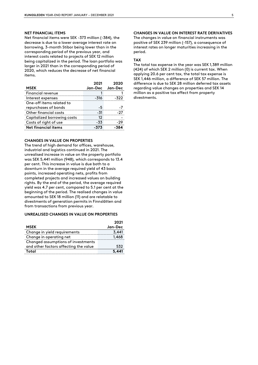#### **NET FINANCIAL ITEMS**

Net financial items were SEK -373 million (-384), the decrease is due to a lower average interest rate on borrowing, 3-month Stibor being lower than in the corresponding period of the previous year, and interest costs related to projects of SEK 12 million being capitalized in the period. The loan portfolio was larger in 2021 than in the corresponding period of 2020, which reduces the decrease of net financial items.

| <b>MSEK</b>                 | 2021 | 2020<br>Jan-Dec Jan-Dec |
|-----------------------------|------|-------------------------|
| Financial revenue           |      |                         |
| Interest expenses           | -316 |                         |
| One-off items related to    |      |                         |
| repurchases of bonds        |      |                         |
| Other financial costs       | -31  |                         |
| Capitalized borrowing costs | 12   |                         |
| Costs of right of use       | -33  |                         |
| Net financial items         |      |                         |

#### **CHANGES IN VALUE ON PROPERTIES**

The trend of high demand for offices, warehouse, industrial and logistics continued in 2021. The unrealised increase in value on the property portfolio was SEK 5,441 million (948), which corresponds to 13.4 per cent. This increase in value is due both to a downturn in the average required yield of 43 basis points, increased operating nets, profits from completed projects and increased values on building rights. By the end of the period, the average required yield was 4.7 per cent, compared to 5.1 per cent at the beginning of the period. The realised changes in value amounted to SEK 18 million (11) and are relatable to divestments of generation permits in Finnslätten and from transactions from previous year.

#### **UNREALISED CHANGES IN VALUE ON PROPERTIES**

|                                       | 2021    |
|---------------------------------------|---------|
| <b>MSEK</b>                           | Jan-Dec |
| Change in yield requirements          | 3.441   |
| Change in operating net               | 1.468   |
| Changed assumptions of investments    |         |
| and other factors affecting the value | 532     |
| Total                                 |         |

#### **CHANGES IN VALUE ON INTEREST RATE DERIVATIVES**

The changes in value on financial instruments was positive of SEK 239 million (-157), a consequence of interest rates on longer maturities increasing in the period.

#### **TAX**

The total tax expense in the year was SEK 1,389 million (424) of which SEK 2 million (0) is current tax. When applying 20.6 per cent tax, the total tax expense is SEK 1,446 million, a difference of SEK 57 million. The difference is due to SEK 28 million deferred tax assets regarding value changes on properties and SEK 14 million as a positive tax effect from property divestments.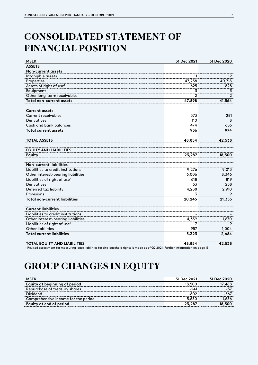## **CONSOLIDATED STATEMENT OF FINANCIAL POSITION**

| <b>MSEK</b>                                                                                                                            | 31 Dec 2021    | 31 Dec 2020       |
|----------------------------------------------------------------------------------------------------------------------------------------|----------------|-------------------|
| <b>ASSETS</b>                                                                                                                          |                |                   |
| Non-current assets                                                                                                                     |                |                   |
| Intangible assets                                                                                                                      | 11             | $12 \overline{ }$ |
| Properties                                                                                                                             | 47,258         | 40,718            |
| Assets of right of use <sup>1</sup>                                                                                                    | 625            | 828               |
| Equipment                                                                                                                              | 3              | 3                 |
| Other long-term receivables                                                                                                            | $\overline{2}$ | $\overline{2}$    |
| <b>Total non-current assets</b>                                                                                                        | 47,898         | 41,564            |
| <b>Current assets</b>                                                                                                                  |                |                   |
| <b>Current receivables</b>                                                                                                             | 373            | 281               |
| <b>Derivatives</b>                                                                                                                     | 110            | 8                 |
| Cash and bank balances                                                                                                                 | 474            | 685               |
| <b>Total current assets</b>                                                                                                            | 956            | 974               |
| <b>TOTAL ASSETS</b>                                                                                                                    | 48,854         | 42,538            |
| <b>EQUITY AND LIABILITIES</b>                                                                                                          |                |                   |
| <b>Equity</b>                                                                                                                          | 23,287         | 18,500            |
| <b>Non-current liabilities</b>                                                                                                         |                |                   |
| Liabilities to credit institutions                                                                                                     | 9,276          | 9,013             |
| Other interest-bearing liabilities                                                                                                     | 6,006          | 8,346             |
| Liabilities of right of use <sup>1</sup>                                                                                               | 618            | 819               |
| Derivatives                                                                                                                            | 53             | 258               |
| Deferred tax liability                                                                                                                 | 4,288          | 2,910             |
| Provisions                                                                                                                             | 3              | 9                 |
| <b>Total non-current liabilities</b>                                                                                                   | 20,245         | 21,355            |
| <b>Current liabilities</b>                                                                                                             |                |                   |
| Liabilities to credit institutions                                                                                                     |                |                   |
| Other interest-bearing liabilities                                                                                                     | 4,359          | 1,670             |
| Liabilities of right of use <sup>1</sup>                                                                                               | 7              | 9                 |
| <b>Other liabilities</b>                                                                                                               | 957            | 1,004             |
| <b>Total current liabilities</b>                                                                                                       | 5,323          | 2,684             |
| <b>TOTAL EQUITY AND LIABILITIES</b>                                                                                                    | 48,854         | 42,538            |
| 1. Revised assessment for measuring lease liabilities for site leasehold rights is made as of Q2 2021. Further information on page 13. |                |                   |

## **GROUP CHANGES IN EQUITY**

| <b>MSEK</b>                         | 31 Dec 2021 | 31 Dec 2020 |
|-------------------------------------|-------------|-------------|
| Equity at beginning of period       | 18.500      | 17,488      |
| Repurchase of treasury shares       | $-241$      | $-57$       |
| Dividend                            | -602        | -567        |
| Comprehensive income for the period | 5.630       | 1.636       |
| Equity at end of period             | 23,287      | 18,500      |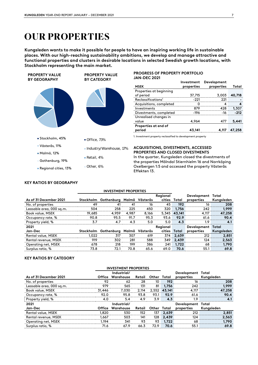### **OUR PROPERTIES**

**Kungsleden wants to make it possible for people to have an inspiring working life in sustainable places. With our high-reaching sustainability ambitions, we develop and manage attractive and functional properties and clusters in desirable locations in selected Swedish growth locations, with Stockholm representing the main market.**



#### **PROGRESS OF PROPERTY PORTFOLIO JAN-DEC 2021**

|                               |            | Investment Development |        |
|-------------------------------|------------|------------------------|--------|
| <b>MSEK</b>                   | properties | properties             | Total  |
| Properties at beginning       |            |                        |        |
| of period                     | 37,715     | 3,003                  | 40,718 |
| Reclassification <sup>1</sup> | $-221$     | 221                    |        |
| Acquisitions, completed       |            |                        |        |
| Investments                   | 870        | 428                    | 1,307  |
| Divestments, completed        | -196       | -16                    | -212   |
| Unrealised changes in         |            |                        |        |
| value                         | 4,964      | 477                    | 5,441  |
| Properties at end of          |            |                        |        |
| period                        | 43,141     | 4.117                  | 47,258 |

1. Investment property reclassified to development property

#### **ACQUISITIONS, DIVESTMENTS, ACCESSED PROPERTIES AND CLOSED DIVESTMENTS**

In the quarter, Kungsleden closed the divestments of the properties Mölndal Stiernhielm 16 and Norrköping Oxelbergen 1:5 and accessed the property Västerås Effekten 13.

#### **KEY RATIOS BY GEOGRAPHY**

| As of 31 December 2021   |           | Stockholm Gothenburg |       | Malmö Västerås | Regional      | cities Total | Development Total<br>properties | Kungsleden |
|--------------------------|-----------|----------------------|-------|----------------|---------------|--------------|---------------------------------|------------|
| No. of properties        | 49        | 41                   | 41    | 16             | 45            | 192          | 16                              | 208        |
| Leasable area, 000 sq.m. | 504       | 258                  | 225   | 450            | 320           | 1,756        | 242                             | 1,999      |
| Book value, MSEK         | 19,685    | 4,959                | 4,987 | 8,166          | 5,345         | 43,141       | 4,117                           | 47,258     |
| Occupancy rate, %        | 90.8      | 95.5                 | 91.7  | 95.3           | 93.6          | 92.9         | 61.6                            | 90.4       |
| Property yield, %        | 3.7       | 4.7                  | 4.3   | 5.0            | 5.0           | 4.3          | 1.9                             | 4.1        |
| 2021                     |           |                      |       |                | Regional      |              | Development Total               |            |
| Jan-Dec                  | Stockholm | Gothenburg           | Malmö | Västerås       | <b>cities</b> | Total        | properties                      | Kungsleden |
| Rental value, MSEK       | 1.022     | 317                  | 307   | 619            | 374           | 2,639        | 212                             | 2,851      |
| Rental revenue, MSEK     | 919       | 302                  | 281   | 588            | 349           | 2,439        | 124                             | 2,563      |
| Operating net, MSEK      | 678       | 218                  | 199   | 386            | 241           | 1,722        | 68                              | 1,790      |
| Surplus ratio, %         | 73.8      | 72.1                 | 70.8  | 65.6           | 69.0          | 70.6         | 55.1                            | 69.8       |
|                          |           |                      |       |                |               |              |                                 |            |

**INVESTMENT PROPERTIES**

#### **KEY RATIOS BY CATEGORY**

| <b>INVESTMENT PROPERTIES</b> |               |             |        |             |              |                   |            |  |
|------------------------------|---------------|-------------|--------|-------------|--------------|-------------------|------------|--|
|                              |               | Industrial/ |        |             |              | Development Total |            |  |
| As of 31 December 2021       | <b>Office</b> | Warehouse   | Retail | Other Total |              | properties        | Kungsleden |  |
| No. of properties            | 92            | 62          | 28     | 10          | 192          | 16                | 208        |  |
| Leasable area, 000 sq.m.     | 979           | 565         | 131    | 81          | 1,756        | 242               | 1,999      |  |
| Book value, MSEK             | 31,446        | 7,030       | 2,114  |             | 2,552 43,141 | 4,117             | 47,258     |  |
| Occupancy rate, %            | 92.0          | 95.8        | 93.8   | 93.1        | 92.9         | 61.6              | 90.4       |  |
| Property yield, %            | 4.0           | 5.4         | 4.9    | 3.9         | 4.3          | 1.9               | 4.1        |  |
| 2021                         |               | Industrial/ |        |             |              | Development Total |            |  |
| Jan-Dec                      | <b>Office</b> | Warehouse   | Retail | Other Total |              | properties        | Kungsleden |  |
| Rental value, MSEK           | 1,820         | 530         | 152    | 137         | 2,639        | 212               | 2,851      |  |
| Rental revenue, MSEK         | 1,667         | 503         | 141    | 128         | 2,439        | 124               | 2,563      |  |
| Operating net, MSEK          | 1.194         | 341         | 93     | 93          | 1,722        | 68                | 1,790      |  |
| Surplus ratio, %             | 71.6          | 67.9        | 66.3   | 72.9        | 70.6         | 55.1              | 69.8       |  |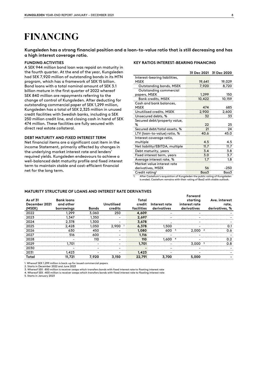### **FINANCING**

**Kungsleden has a strong financial position and a loan-to-value ratio that is still decreasing and has a high interest coverage ratio.**

#### **FUNDING ACTIVITIES**

A SEK 944 million bond loan was repaid on maturity in the fourth quarter. At the end of the year, Kungsleden had SEK 7,920 million of outstanding bonds in its MTN program, which has a framework of SEK 15 billion. Bond loans with a total nominal amount of SEK 3.1 billion mature in the first quarter of 2022 whereof SEK 840 million are repayments referring to the change of control of Kungsleden. After deducting for outstanding commercial paper of SEK 1,299 million, Kungsleden has a total of SEK 2,325 million in unused credit facilities with Swedish banks, including a SEK 250 million credit line, and closing cash in hand of SEK 474 million. These facilities are fully secured with direct real estate collateral.

#### **DEBT MATURITY AND FIXED INTEREST TERM**

Net financial items are a significant cost item in the income Statement, primarily affected by changes in the underlying market interest rate and lenders' required yields. Kungsleden endeavours to achieve a well-balanced debt maturity profile and fixed interest term to maintain stable and cost-efficient financial net for the long term.

#### **KEY RATIOS INTEREST-BEARING FINANCING**

|                                |        | 31 Dec 2021 31 Dec 2020 |
|--------------------------------|--------|-------------------------|
| Interest-bearing liabilities,  |        |                         |
| MSEK                           | 19,641 | 19,029                  |
| Outstanding bonds, MSEK        | 7,920  | 8,720                   |
| Outstanding commercial         |        |                         |
| papers, MSEK                   | 1,299  | 150                     |
| <b>Bank credits, MSEK</b>      | 10,422 | 10,159                  |
| Cash and bank balances,        |        |                         |
| <b>MSEK</b>                    | 474    | 685                     |
| Unutilised credits, MSEK       | 2,900  | 2,600                   |
| Unsecured debts, %             | 32     | 33                      |
| Secured debt/property value,   |        |                         |
| %                              | 22     | 25                      |
| Secured debt/total assets, %   | 21     | 24                      |
| LTV (loan-to-value) ratio, %   | 40.6   | 45.0                    |
| Interest coverage ratio,       |        |                         |
| multiple                       | 4.5    | 4.5                     |
| Net liability/EBITDA, multiple | 11.7   | 11.7                    |
| Debt maturity, years           | 3.4    | 3.8                     |
| Fixed interest term, years     | 3.0    | 3.7                     |
| Average interest rate, %       | 1.7    | 1.8                     |
| Market value interest rate     |        |                         |
| derivatives, MSEK              | 56     | -250                    |
| Credit rating <sup>1</sup>     | Baa3   | Baa3                    |
|                                |        |                         |

1. After Castellum's acquisition of Kungsleden the public rating of Kungsleden is ended. Castellum remains with their rating of Baa2 with stable outlook.

**Forward** 

#### **MATURITY STRUCTURE OF LOANS AND INTEREST RATE DERIVATIVES**

| As of 31<br>December 2021<br>(MSEK) | <b>Bank loans</b><br>and other<br>borrowings | <b>Bonds</b>             | <b>Unutilised</b><br>credits | Total<br>credit<br>facilities | Interest rate<br>derivatives | 1 VI WY 1 U<br>starting<br>interest rate<br>derivatives | Ave. interest<br>rate,<br>derivatives, % |
|-------------------------------------|----------------------------------------------|--------------------------|------------------------------|-------------------------------|------------------------------|---------------------------------------------------------|------------------------------------------|
| 2022                                | 1.299                                        | 3,060                    | 250                          | 4,609                         |                              |                                                         |                                          |
| 2023                                | 1,347                                        | 1,350                    | $\overline{\phantom{0}}$     | 2.697                         |                              |                                                         |                                          |
| 2024                                | 2.378                                        | 1,300                    | $\overline{\phantom{0}}$     | 3,678                         |                              |                                                         |                                          |
| 2025                                | 2.428                                        | 1,050                    | $2.900$ <sup>1</sup>         | 6,378                         | 1,500                        |                                                         | 0.1                                      |
| 2026                                | 630                                          | 450                      |                              | 1,080                         | 600 <sup>3</sup>             | 2.000 <sup>2</sup>                                      | 0.6                                      |
| 2027                                | 516                                          | 600                      |                              | 1,116                         |                              |                                                         |                                          |
| 2028                                |                                              | 110                      | $\overline{\phantom{0}}$     | 110                           | 1,600                        |                                                         | 0.2                                      |
| 2029                                | 1,701                                        | $\overline{\phantom{0}}$ |                              | 1,701                         |                              | 3,000 <sup>5</sup>                                      | 0.8                                      |
| 2030                                |                                              | $\overline{\phantom{0}}$ | $\overline{\phantom{0}}$     | -                             | -                            |                                                         |                                          |
| 2031                                | 1,423                                        | $\overline{\phantom{a}}$ | $\overline{\phantom{a}}$     | 1.423                         |                              |                                                         |                                          |
| Total                               | 11,721                                       | 7,920                    | 3,150                        | 22,791                        | 3,700                        | 5,000                                                   |                                          |

1. Whereof SEK 1,299 million is back-up for issued commercial papers

2. Starts in December 2022 and June 2023<br>3. Whereof SEK -850 million is receiver swaps which transfers bonds with fixed interest rate to floating interest rate<br>4. Whereof SEK -400 million is receiver swaps which transfers

5. Starts in January 2023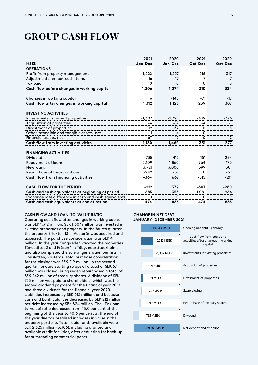### **GROUP CASH FLOW**

|                                                       | 2021     | 2020     | 2021    | 2020     |
|-------------------------------------------------------|----------|----------|---------|----------|
| <b>MSEK</b>                                           | Jan-Dec  | Jan-Dec  | Oct-Dec | Oct-Dec  |
| <b>OPERATIONS</b>                                     |          |          |         |          |
| Profit from property management                       | 1,322    | 1,257    | 318     | 317      |
| Adjustments for non-cash items                        | $-16$    | 17       | -7      | 7        |
| Tax paid                                              | 0        | 0        | 0       | 0        |
| Cash flow before changes in working capital           | 1,306    | 1,274    | 310     | 324      |
|                                                       |          |          |         |          |
| Changes in working capital                            | 6        | $-148$   | $-71$   | $-17$    |
| Cash flow after changes in working capital            | 1,312    | 1,125    | 239     | 307      |
|                                                       |          |          |         |          |
| <b>INVESTING ACTIVITIES</b>                           |          |          |         |          |
| Investments in current properties                     | $-1,307$ | $-1,395$ | -439    | $-376$   |
| Acquisition of properties                             | -4       | -82      | -4      | $-1$     |
| Divestment of properties                              | 219      | 32       | 111     | 13       |
| Other intangible and tangible assets, net             | $-1$     | -4       | 0       | $-1$     |
| Financial assets, net                                 | -67      | $-12$    | 0       | $-12$    |
| Cash flow from investing activities                   | $-1,160$ | $-1,460$ | $-331$  | $-377$   |
|                                                       |          |          |         |          |
| <b>FINANCING ACTIVITIES</b>                           |          |          |         |          |
| Dividend                                              | $-735$   | $-415$   | $-151$  | $-284$   |
| Repayment of loans                                    | $-3,109$ | $-1,860$ | -964    | $-170$   |
| New loans                                             | 3,721    | 3,000    | 599     | 301      |
| Repurchase of treasury shares                         | $-242$   | $-57$    | 0       | $-57$    |
| Cash flow from financing activities                   | $-364$   | 667      | $-515$  | $-211$   |
|                                                       |          |          |         |          |
| <b>CASH FLOW FOR THE PERIOD</b>                       | $-212$   | 332      | $-607$  | $-280$   |
| Cash and cash equivalents at beginning of period      | 685      | 353      | 1081    | 966      |
| Exchange rate difference in cash and cash equivalents | $\Omega$ | 0        | 0       | $\Omega$ |
| Cash and cash equivalents at end of period            | 474      | 685      | 474     | 685      |

#### **CASH FLOW AND LOAN-TO-VALUE RATIO**

Operating cash flow after changes in working capital was SEK 1,312 million. SEK 1,307 million was invested in existing properties and projects. In the fourth quarter the property Effekten 13 in Västerås was acquired and accessed. The purchase consideration was SEK 4 million. In the year Kungsleden vacated the properties Tändstiftet 2 and Fräsen 1 in Täby, near Stockholm, and also completed the sale of generation permits in Finnslätten, Västerås. Total purchase consideration for the closings was SEK 219 million. In the second quarter forward starting swaps of a total of SEK 67 million was closed. Kungsleden repurchased a total of SEK 242 million of treasury shares. A dividend of SEK 735 million was paid to shareholders, which was the second dividend payment for the financial year 2019 and three dividends for the financial year 2020. Liabilities increased by SEK 613 million, and because cash and bank balances decreased by SEK 212 million, net debt increased by SEK 824 million. The LTV (loanto-value) ratio decreased from 45.0 per cent at the beginning of the year to 40.6 per cent at the end of the year due to unrealised increases in value in the property portfolio. Total liquid funds available were SEK 2,325 million (3,386), including granted and available credit facilities, after deducting for back-up for outstanding commercial paper.

#### **CHANGE IN NET DEBT JANUARY–DECEMBER 2021**

| -18,343 MSEK | Opening net debt 1 January                                                 |
|--------------|----------------------------------------------------------------------------|
| 1,312 MSEK   | Cash flow from operating<br>activities after changes in working<br>capital |
| -1,307 MSEK  | Investments in existing properties                                         |
| $-4$ MSFK    | Acquistion of properties                                                   |
| 219 MSFK     | Divestment of properties                                                   |
| $-67$ MSFK   | Swap closing                                                               |
| $-242$ MSFK  | Repurchase of treasury shares                                              |
| $-735$ MSFK  | Dividend                                                                   |
| -19,167 MSEK | Net debt at end of period                                                  |
|              |                                                                            |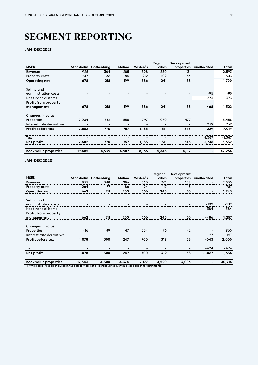## **SEGMENT REPORTING**

#### **JAN-DEC 2021<sup>1</sup>**

|                              |                          |                          |                          |                          | Regional                     | Development              |                          |          |
|------------------------------|--------------------------|--------------------------|--------------------------|--------------------------|------------------------------|--------------------------|--------------------------|----------|
| <b>MSEK</b>                  | Stockholm                | Gothenburg               | Malmö                    | Västerås                 | cities                       | properties               | Unallocated              | Total    |
| Revenue                      | 925                      | 304                      | 285                      | 598                      | 350                          | 131                      | $\overline{\phantom{a}}$ | 2,593    |
| Property costs               | $-247$                   | -86                      | -86                      | $-212$                   | $-109$                       | -63                      | $\overline{\phantom{a}}$ | -803     |
| Operating net                | 678                      | 218                      | 199                      | 386                      | 241                          | 68                       | -                        | 1,790    |
| Selling and                  |                          |                          |                          |                          |                              |                          |                          |          |
| administration costs         | $\overline{\phantom{a}}$ | $\overline{\phantom{a}}$ | $\overline{\phantom{0}}$ | $\overline{\phantom{a}}$ | $\overline{\phantom{a}}$     | $\overline{\phantom{0}}$ | $-95$                    | $-95$    |
| Net financial items          | -                        | $\overline{\phantom{a}}$ | -                        | -                        | $\qquad \qquad \blacksquare$ | $\overline{\phantom{a}}$ | $-373$                   | -373     |
| Profit from property         |                          |                          |                          |                          |                              |                          |                          |          |
| management                   | 678                      | 218                      | 199                      | 386                      | 241                          | 68                       | $-468$                   | 1,322    |
| <b>Changes in value</b>      |                          |                          |                          |                          |                              |                          |                          |          |
| Properties                   | 2,004                    | 552                      | 558                      | 797                      | 1,070                        | 477                      |                          | 5,458    |
| Interest rate derivatives    | -                        | $\overline{\phantom{0}}$ |                          |                          | -                            |                          | 239                      | 239      |
| <b>Profit before tax</b>     | 2,682                    | 770                      | 757                      | 1,183                    | 1,311                        | 545                      | $-229$                   | 7,019    |
| Tax                          | -                        | ٠                        |                          |                          | -                            |                          | $-1,387$                 | $-1,387$ |
| Net profit                   | 2,682                    | 770                      | 757                      | 1,183                    | 1,311                        | 545                      | $-1,616$                 | 5,632    |
| <b>Book value properties</b> | 19,685                   | 4,959                    | 4,987                    | 8,166                    | 5,345                        | 4,117                    | -                        | 47,258   |

#### **JAN-DEC 2020 1**

|                              |           |                          |                          |          | Regional                 | Development              |                          |        |
|------------------------------|-----------|--------------------------|--------------------------|----------|--------------------------|--------------------------|--------------------------|--------|
| <b>MSEK</b>                  | Stockholm | Gothenburg               | Malmö                    | Västerås | cities                   | properties               | Unallocated              | Total  |
| Revenue                      | 927       | 288                      | 286                      | 560      | 361                      | 108                      | -                        | 2,530  |
| Property costs               | -264      | -77                      | -86                      | $-194$   | $-117$                   | -48                      | $\overline{\phantom{a}}$ | -787   |
| Operating net                | 662       | 211                      | 200                      | 366      | 243                      | 60                       | ٠                        | 1,743  |
| Selling and                  |           |                          |                          |          |                          |                          |                          |        |
| administration costs         | -         | $\overline{\phantom{a}}$ |                          |          | $\overline{\phantom{a}}$ |                          | $-102$                   | -102   |
| Net financial items          | -         | $\overline{\phantom{a}}$ | $\overline{\phantom{a}}$ |          | $\overline{\phantom{a}}$ | $\overline{\phantom{a}}$ | -384                     | $-384$ |
| Profit from property         |           |                          |                          |          |                          |                          |                          |        |
| management                   | 662       | 211                      | 200                      | 366      | 243                      | 60                       | $-486$                   | 1,257  |
| Changes in value             |           |                          |                          |          |                          |                          |                          |        |
| Properties                   | 416       | 89                       | 47                       | 334      | 76                       | $-2$                     | $\overline{\phantom{0}}$ | 960    |
| Interest rate derivatives    | -         | $\overline{\phantom{a}}$ | $\overline{\phantom{0}}$ |          | $\overline{\phantom{a}}$ | $\overline{\phantom{0}}$ | $-157$                   | $-157$ |
| Profit before tax            | 1,078     | 300                      | 247                      | 700      | 319                      | 58                       | $-643$                   | 2,060  |
| Tax                          | ٠         | -                        | -                        |          | -                        | -                        | $-424$                   | $-424$ |
| Net profit                   | 1,078     | 300                      | 247                      | 700      | 319                      | 58                       | $-1,067$                 | 1,636  |
| <b>Book value properties</b> | 17,343    | 4,300                    | 4,374                    | 7,177    | 4,520                    | 3,003                    |                          | 40,718 |

1. 1. Which properties are included in the category project properties varies over time (see page 14 for definitions).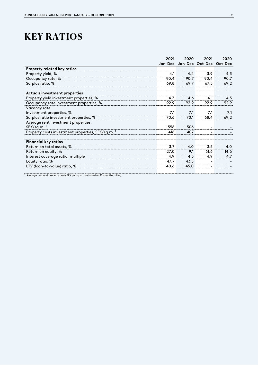## **KEY RATIOS**

|                                                   | 2021    | 2020  | 2021                    | 2020 |
|---------------------------------------------------|---------|-------|-------------------------|------|
|                                                   | Jan-Dec |       | Jan-Dec Oct-Dec Oct-Dec |      |
| <b>Property related key ratios</b>                |         |       |                         |      |
| Property yield, %                                 | 4.1     | 4.4   | 3.9                     | 4.3  |
| Occupancy rate, %                                 | 90.4    | 90.7  | 90.4                    | 90.7 |
| Surplus ratio, %                                  | 69.8    | 69.7  | 67.5                    | 69.2 |
| Actuals investment properties                     |         |       |                         |      |
| Property yield investment properties, %           | 4.3     | 4.6   | 4.1                     | 4.5  |
| Occupancy rate investment properties, %           | 92.9    | 92.9  | 92.9                    | 92.9 |
| Vacancy rate                                      |         |       |                         |      |
| investment properties, %                          | 7.1     | 7.1   | 7.1                     | 7.1  |
| Surplus ratio investment properties, %            | 70.6    | 70.1  | 68.4                    | 69.2 |
| Average rent investment properties,               |         |       |                         |      |
| $SEK/sq.m.$ <sup>1</sup>                          | 1,558   | 1,506 |                         |      |
| Property costs investment properties, SEK/sq.m. 1 | 418     | 407   |                         |      |
| <b>Financial key ratios</b>                       |         |       |                         |      |
| Return on total assets, %                         | 3.7     | 4.0   | 3.5                     | 4.0  |
| Return on equity, %                               | 27.0    | 9.1   | 61.6                    | 14.6 |
| Interest coverage ratio, multiple                 | 4.9     | 4.5   | 4.9                     | 4.7  |
| Equity ratio, %                                   | 47.7    | 43.5  |                         |      |
| LTV (loan-to-value) ratio, %                      | 40.6    | 45.0  |                         |      |
|                                                   |         |       |                         |      |

1. Average rent and property costs SEK per sq.m. are based on 12-months rolling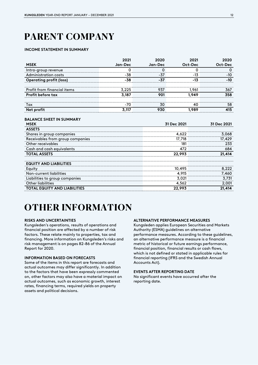## **PARENT COMPANY**

#### **INCOME STATEMENT IN SUMMARY**

|                                | 2021    | 2020    | 2021    | 2020    |
|--------------------------------|---------|---------|---------|---------|
| <b>MSEK</b>                    | Jan-Dec | Jan-Dec | Oct-Dec | Oct-Dec |
| Intra-group revenue            | Ω       | Ω       | Ω       | O       |
| Administration costs           | -38     | -37     | $-13$   | -10     |
| <b>Operating profit (loss)</b> | $-38$   | -37     | -13     | $-10$   |
| Profit from financial items    | 3,225   | 937     | 1.961   | 367     |
| <b>Profit before tax</b>       | 3,187   | 901     | 1,949   | 358     |
| Tax                            | -70     | 30      | 40      | 58      |
| Net profit                     | 3,117   | 930     | 1,989   | 415     |
|                                |         |         |         |         |

#### **BALANCE SHEET IN SUMMARY**

| <b>MSEK</b>                         | 31 Dec 2021 | 31 Dec 2021 |  |
|-------------------------------------|-------------|-------------|--|
| <b>ASSETS</b>                       |             |             |  |
| Shares in group companies           | 4,622       | 3,068       |  |
| Receivables from group companies    | 17,718      | 17,429      |  |
| Other receivables                   | 181         | 233         |  |
| Cash and cash equivalents           | 472         | 684         |  |
| <b>TOTAL ASSETS</b>                 | 22,993      | 21,414      |  |
| <b>EQUITY AND LIABILITIES</b>       |             |             |  |
| Equity                              | 10,495      | 8,222       |  |
| Non-current liabilities             | 4,915       | 7,460       |  |
| Liabilities to group companies      | 3,021       | 3,731       |  |
| <b>Other liabilities</b>            | 4,562       | 2,001       |  |
| <b>TOTAL EQUITY AND LIABILITIES</b> | 22,993      | 21,414      |  |

### **OTHER INFORMATION**

#### **RISKS AND UNCERTAINTIES**

Kungsleden's operations, results of operations and financial position are affected by a number of risk factors. These relate mainly to properties, tax and financing. More information on Kungsleden's risks and risk management is on pages 82-86 of the Annual Report for 2020.

#### **INFORMATION BASED ON FORECASTS**

Some of the items in this report are forecasts and actual outcomes may differ significantly. In addition to the factors that have been expressly commented on, other factors may also have a material impact on actual outcomes, such as economic growth, interest rates, financing terms, required yields on property assets and political decisions.

#### **ALTERNATIVE PERFORMANCE MEASURES**

Kungsleden applies European Securities and Markets Authority (ESMA) guidelines on alternative performance measures. According to these guidelines, an alternative performance measure is a financial metric of historical or future earnings performance, financial position, financial results or cash flows, which is not defined or stated in applicable rules for financial reporting (IFRS and the Swedish Annual Accounts Act).

#### **EVENTS AFTER REPORTING DATE**

No significant events have occurred after the reporting date.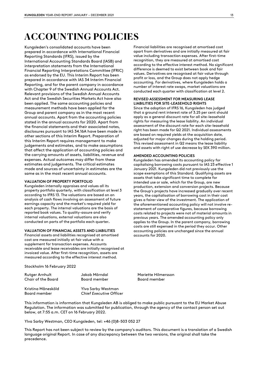## **ACCOUNTING POLICIES**

Kungsleden's consolidated accounts have been prepared in accordance with International Financial Reporting Standards (IFRS), issued by the International Accounting Standards Board (IASB) and interpretation statements from the International Financial Reporting Interpretations Committee (IFRIC) as endorsed by the EU. This Interim Report has been prepared in accordance with IAS 34 Interim Financial Reporting, and for the parent company in accordance with Chapter 9 of the Swedish Annual Accounts Act. Relevant provisions of the Swedish Annual Accounts Act and the Swedish Securities Markets Act have also been applied. The same accounting policies and measurement methods have been applied for the Group and parent company as in the most recent annual accounts. Apart from the accounting policies stated in the annual accounts for 2020. Apart from the financial statements and their associated notes, disclosures pursuant to IAS 34.16A have been made in other sections of this Interim Report. Preparation of this Interim Report requires management to make judgements and estimates, and to make assumptions that affect the application of accounting policies and the carrying amounts of assets, liabilities, revenue and expenses. Actual outcomes may differ from these estimates and judgements. The critical estimates made and sources of uncertainty in estimates are the same as in the most recent annual accounts.

#### **VALUATION OF PROPERTY PORTFOLIO**

Kungsleden internally appraises and values all its property portfolio quarterly, with classification at level 3 according to IFRS 13. The valuations are based on an analysis of cash flows involving an assessment of future earnings capacity and the market's required yield for each property. The internal valuations are the basis of reported book values. To quality-assure and verify internal valuations, external valuations are also conducted on parts of the portfolio each quarter**.** 

#### **VALUATION OF FINANCIAL ASSETS AND LIABILITIES**

Financial assets and liabilities recognised at amortised cost are measured initially at fair value with a supplement for transaction expenses. Accounts receivable and lease receivables are initially recognised at invoiced value. After first-time recognition, assets are measured according to the effective interest method.

Financial liabilities are recognised at amortised cost apart from derivatives and are initially measured at fair value including transaction expenses. After first-time recognition, they are measured at amortised cost according to the effective interest method. No significant difference is deemed to exist between book and fair values. Derivatives are recognised at fair value through profit or loss, and the Group does not apply hedge accounting. For derivatives, where Kungsleden holds a number of interest rate swaps, market valuations are conducted each quarter with classification at level 2.

#### **REVISED ASSESSMENT FOR MEASURING LEASE LIABILITIES FOR SITE-LEASEHOLD RIGHTS**

Since the adoption of IFRS 16, Kungsleden has judged that a ground rent interest rate of 3.25 per cent should apply as a general discount rate for all site-leasehold rights for measuring the lease liability. An individual assessment of the discount rate for each site-leasehold right has been made for Q2 2021. Individual assessments are based on required yields at the acquisition date, adjusted for major changes during the holding period. This revised assessment in Q2 means the lease liability and assets with right of use decrease by SEK 390 million.

#### **AMENDED ACCOUNTING POLICIES**

Kungsleden has amended its accounting policy for capitalising borrowing costs pursuant to IAS 23 effective 1 January 2021. Kungsleden did not previously use the scope exemptions of this Standard. Qualifying assets are assets that take significant time to complete for intended use or sale, which for the Group, are new production, extension and conversion projects. Because the Group's projects have increased gradually over recent years, the capitalisation of borrowing cost in their cost gives a fairer view of the investment. The application of the aforementioned accounting policy will not involve restatement of comparative figures, because borrowing costs related to projects were not of material amounts in previous years. The amended accounting policy only applies to the Group. In the parent company, borrowing costs are still expensed in the period they occur. Other accounting policies are unchanged since the annual accounts for 2020.

Stockholm 16 February 2022

| Rutger Arnhult<br>Chair of the Board<br>Kristina Månesköld<br>Board member | Jakob Mörndal<br>Board member<br>Ylva Sarby Westman<br><b>Chief Executive Officer</b> | Mariette Hilmersson<br>Board member |
|----------------------------------------------------------------------------|---------------------------------------------------------------------------------------|-------------------------------------|
|----------------------------------------------------------------------------|---------------------------------------------------------------------------------------|-------------------------------------|

This information is information that Kungsleden AB is obliged to make public pursuant to the EU Market Abuse Regulation. The information was submitted for publication, through the agency of the contact person set out below, at 7:55 a.m. CET on 16 February 2022.

Ylva Sarby Westman, CEO Kungsleden, tel: +46 (0)8-503 052 27

This Report has not been subject to review by the company's auditors. This document is a translation of a Swedish language original Report. In case of any discrepancy between the two versions, the original shall take the precedence.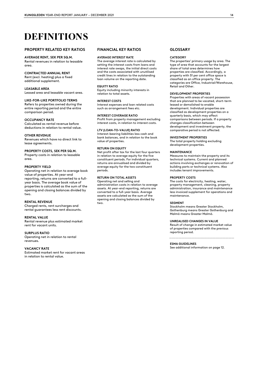## **DEFINITIONS**

#### **PROPERTY RELATED KEY RATIOS**

#### **AVERAGE RENT, SEK PER SQ.M.**

Rental revenues in relation to leasable area.

#### **CONTRACTED ANNUAL RENT**

Rent (excl. heating) plus a fixed additional supplement.

#### **LEASABLE AREA**

Leased area and leasable vacant area.

#### **LIKE-FOR-LIKE PORTFOLIO TERMS**

Refers to properties owned during the entire reporting period and the entire comparison period.

#### **OCCUPANCY RATE**

Calculated as rental revenue before deductions in relation to rental value.

#### **OTHER REVENUE**

Revenues which have no direct link to lease agreements.

#### **PROPERTY COSTS, SEK PER SQ.M.**

Property costs in relation to leasable area.

#### **PROPERTY YIELD**

Operating net in relation to average book value of properties. At year-end reporting, returns are converted to a fullyear basis. The average book value of properties is calculated as the sum of the opening and closing balances divided by two.

#### **RENTAL REVENUE**

Charged rents, rent surcharges and rental guarantees less rent discounts.

#### **RENTAL VALUE**

Rental revenue plus estimated market rent for vacant units.

#### **SURPLUS RATIO**

Operating net in relation to rental revenues.

#### **VACANCY RATE**

Estimated market rent for vacant areas in relation to rental value.

#### **FINANCIAL KEY RATIOS**

#### **AVERAGE INTEREST RATE**

The average interest rate is calculated by setting the interest costs from loans and interest rate swaps, the initial direct costs and the costs associated with unutilised credit lines in relation to the outstanding loan volume on the reporting date.

#### **EQUITY RATIO**

Equity including minority interests in relation to total assets.

#### **INTEREST COSTS**

Interest expenses and loan related costs such as arrangement fees etc.

#### **INTEREST COVERAGE RATIO**

Profit from property management excluding interest costs, in relation to interest costs.

#### **LTV (LOAN-TO-VALUE) RATIO**

Interest-bearing liabilities less cash and bank balances, and in relation to the book value of properties.

#### **RETURN ON EQUITY**

Net profit after tax for the last four quarters in relation to average equity for the five constituent periods. For individual quarters, returns are annualised and divided by average equity for the two constituent periods.

#### **RETURN ON TOTAL ASSETS**

Operating net and selling and administration costs in relation to average assets. At year-end reporting, returns are converted to a full-year basis. Average assets are calculated as the sum of the opening and closing balances divided by two.

#### **GLOSSARY**

#### **CATEGORY**

The properties' primary usage by area. The type of area that accounts for the largest share of total area determines how properties are classified. Accordingly, a property with 51 per cent office space is classified as an office property. The categories are Office, Industrial/Warehouse, Retail and Other.

#### **DEVELOPMENT PROPERTIES**

Properties with areas of vacant possession that are planned to be vacated, short-term leased or demolished to enable development. Individual properties are classified as development properties on a quarterly basis, which may affect comparisons between periods. If a property changes classification between development and investment property, the comparative period is not affected.

#### **INVESTMENT PROPERTIES**

The total property holding excluding development properties.

#### **MAINTENANCE**

Measures to maintain the property and its technical systems. Current and planned actions involving exchanges or renovation of building parts or technical systems. Also includes tenant improvements.

#### **PROPERTY COSTS**

The costs for electricity, heating, water, property management, cleaning, property administration, insurance and maintenance less invoiced supplement for operations and maintenance.

#### **SEGMENT**

Stockholm means Greater Stockholm, Gothenburg means Greater Gothenburg and Malmö means Greater Malmö.

#### **UNREALISED CHANGES IN VALUE**

Result of change in estimated market value of properties compared with the previous reporting period.

#### **ESMA GUIDELINES**

See additional information on page 12.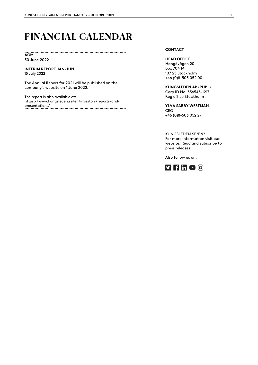## **FINANCIAL CALENDAR**

..................................

#### **AGM** 30 June 2022

**INTERIM REPORT JAN-JUN** 15 July 2022

The Annual Report for 2021 will be published on the company's website on 1 June 2022.

The report is also available at: https://www.kungsleden.se/en/investors/reports-andpresentations/<br>presentations/

#### **CONTACT**

**HEAD OFFICE** Hangövägen 20 Box 704 14 107 25 Stockholm +46 (0)8-503 052 00

**KUNGSLEDEN AB (PUBL)**  Corp ID No. 556545-1217 Reg office Stockholm

**YLVA SARBY WESTMAN** CEO +46 (0)8-503 052 27

KUNGSLEDEN.SE/EN/ For more information visit our website. Read and subscribe to press releases.

Also follow us on: